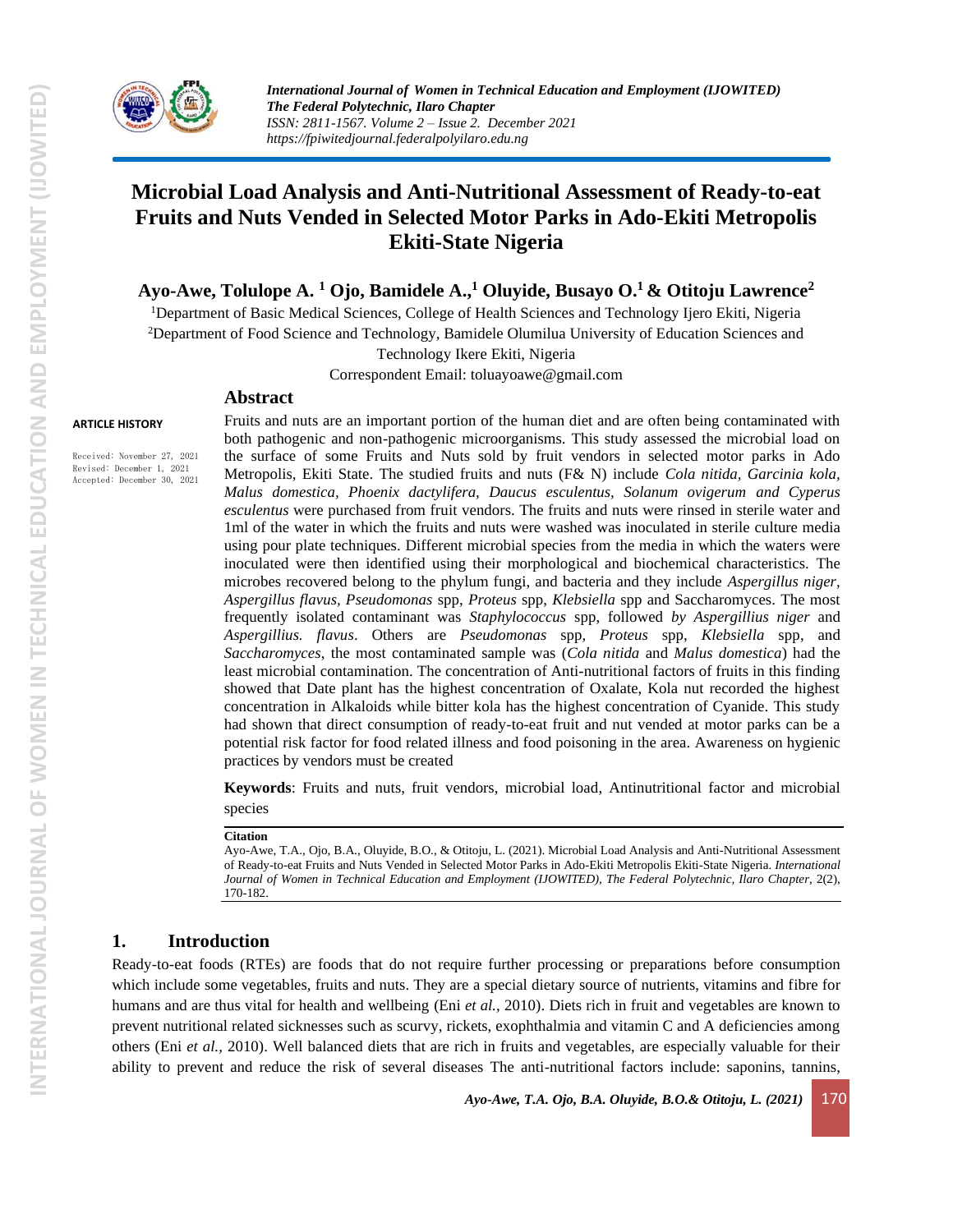

# **Microbial Load Analysis and Anti-Nutritional Assessment of Ready-to-eat Fruits and Nuts Vended in Selected Motor Parks in Ado-Ekiti Metropolis Ekiti-State Nigeria**

**Ayo-Awe, Tolulope A. <sup>1</sup> Ojo, Bamidele A., <sup>1</sup> Oluyide, Busayo O.<sup>1</sup> & Otitoju Lawrence<sup>2</sup>** 

<sup>1</sup>Department of Basic Medical Sciences, College of Health Sciences and Technology Ijero Ekiti, Nigeria <sup>2</sup>Department of Food Science and Technology, Bamidele Olumilua University of Education Sciences and Technology Ikere Ekiti, Nigeria

Correspondent Email: toluayoawe@gmail.com

### **Abstract**

#### **ARTICLE HISTORY**

Received: November 27, 2021 Revised: December 1, 2021 Accepted: December 30, 2021

Fruits and nuts are an important portion of the human diet and are often being contaminated with both pathogenic and non-pathogenic microorganisms. This study assessed the microbial load on the surface of some Fruits and Nuts sold by fruit vendors in selected motor parks in Ado Metropolis, Ekiti State. The studied fruits and nuts (F& N) include *Cola nitida, Garcinia kola, Malus domestica, Phoenix dactylifera, Daucus esculentus, Solanum ovigerum and Cyperus esculentus* were purchased from fruit vendors. The fruits and nuts were rinsed in sterile water and 1ml of the water in which the fruits and nuts were washed was inoculated in sterile culture media using pour plate techniques. Different microbial species from the media in which the waters were inoculated were then identified using their morphological and biochemical characteristics. The microbes recovered belong to the phylum fungi, and bacteria and they include *Aspergillus niger, Aspergillus flavus, Pseudomonas* spp, *Proteus* spp, *Klebsiella* spp and Saccharomyces. The most frequently isolated contaminant was *Staphylococcus* spp, followed *by Aspergillius niger* and *Aspergillius. flavus*. Others are *Pseudomonas* spp, *Proteus* spp, *Klebsiella* spp, and *Saccharomyces*, the most contaminated sample was (*Cola nitida* and *Malus domestica*) had the least microbial contamination. The concentration of Anti-nutritional factors of fruits in this finding showed that Date plant has the highest concentration of Oxalate, Kola nut recorded the highest concentration in Alkaloids while bitter kola has the highest concentration of Cyanide. This study had shown that direct consumption of ready-to-eat fruit and nut vended at motor parks can be a potential risk factor for food related illness and food poisoning in the area. Awareness on hygienic practices by vendors must be created

**Keywords**: Fruits and nuts, fruit vendors, microbial load, Antinutritional factor and microbial species

#### **Citation**

Ayo-Awe, T.A., Ojo, B.A., Oluyide, B.O., & Otitoju, L. (2021). Microbial Load Analysis and Anti-Nutritional Assessment of Ready-to-eat Fruits and Nuts Vended in Selected Motor Parks in Ado-Ekiti Metropolis Ekiti-State Nigeria. *International* Journal of Women in Technical Education and Employment (IJOWITED), The Federal Polytechnic, Ilaro Chapter, 2(2), 170-182.

### **1. Introduction**

Ready-to-eat foods (RTEs) are foods that do not require further processing or preparations before consumption which include some vegetables, fruits and nuts. They are a special dietary source of nutrients, vitamins and fibre for humans and are thus vital for health and wellbeing (Eni *et al.,* 2010). Diets rich in fruit and vegetables are known to prevent nutritional related sicknesses such as scurvy, rickets, exophthalmia and vitamin C and A deficiencies among others (Eni *et al.,* 2010). Well balanced diets that are rich in fruits and vegetables, are especially valuable for their ability to prevent and reduce the risk of several diseases The anti-nutritional factors include: saponins, tannins,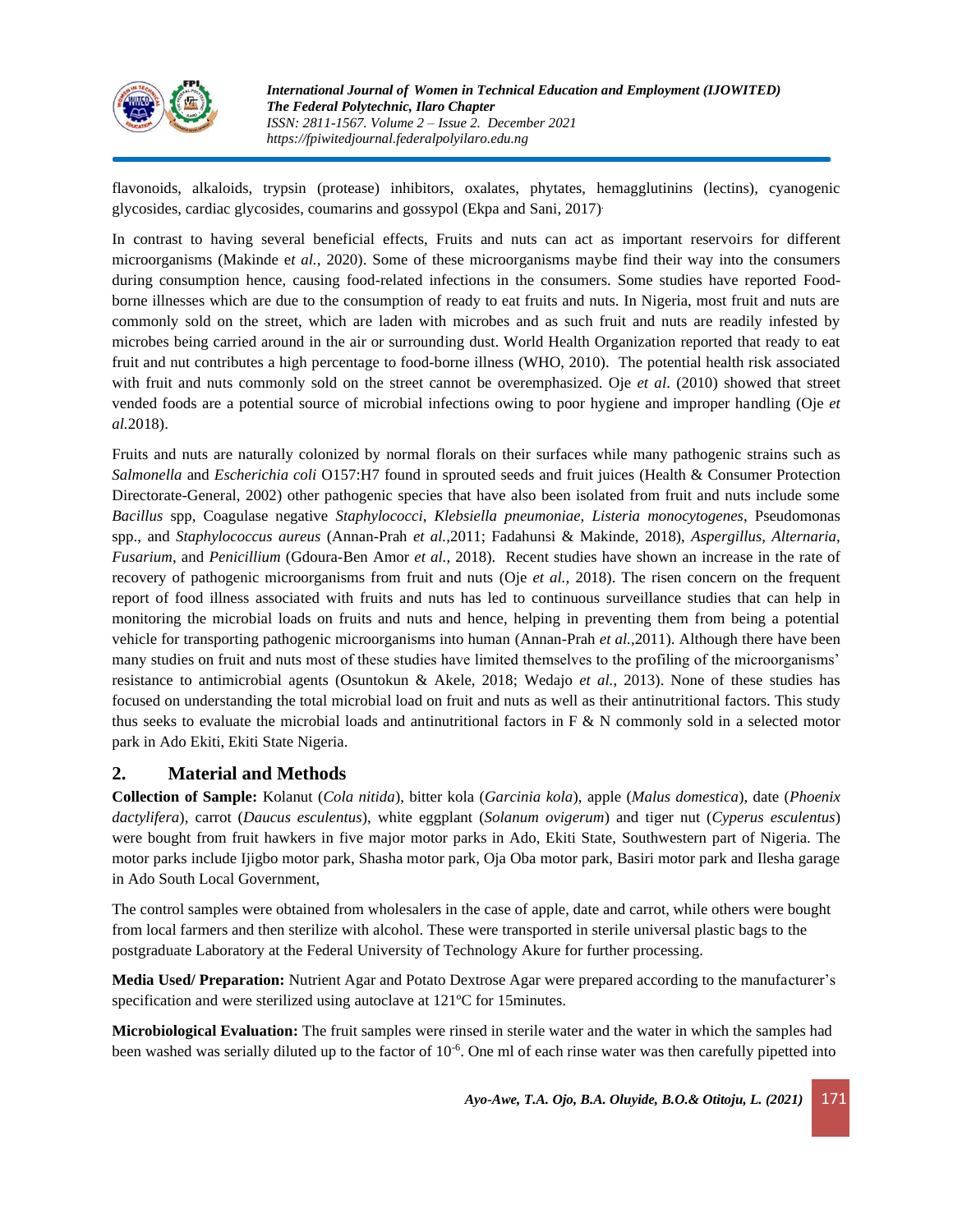

flavonoids, alkaloids, trypsin (protease) inhibitors, oxalates, phytates, hemagglutinins (lectins), cyanogenic glycosides, cardiac glycosides, coumarins and gossypol (Ekpa and Sani, 2017) .

In contrast to having several beneficial effects, Fruits and nuts can act as important reservoirs for different microorganisms (Makinde e*t al.,* 2020). Some of these microorganisms maybe find their way into the consumers during consumption hence, causing food-related infections in the consumers. Some studies have reported Foodborne illnesses which are due to the consumption of ready to eat fruits and nuts. In Nigeria, most fruit and nuts are commonly sold on the street, which are laden with microbes and as such fruit and nuts are readily infested by microbes being carried around in the air or surrounding dust. World Health Organization reported that ready to eat fruit and nut contributes a high percentage to food-borne illness (WHO, 2010). The potential health risk associated with fruit and nuts commonly sold on the street cannot be overemphasized. Oje *et al*. (2010) showed that street vended foods are a potential source of microbial infections owing to poor hygiene and improper handling (Oje *et al.*2018).

Fruits and nuts are naturally colonized by normal florals on their surfaces while many pathogenic strains such as *Salmonella* and *Escherichia coli* O157:H7 found in sprouted seeds and fruit juices (Health & Consumer Protection Directorate-General, 2002) other pathogenic species that have also been isolated from fruit and nuts include some *Bacillus* spp, Coagulase negative *Staphylococci*, *Klebsiella pneumoniae*, *Listeria monocytogenes*, Pseudomonas spp., and *Staphylococcus aureus* (Annan-Prah *et al.,*2011; Fadahunsi & Makinde, 2018), *Aspergillus, Alternaria, Fusarium*, and *Penicillium* (Gdoura-Ben Amor *et al.,* 2018). Recent studies have shown an increase in the rate of recovery of pathogenic microorganisms from fruit and nuts (Oje *et al.,* 2018). The risen concern on the frequent report of food illness associated with fruits and nuts has led to continuous surveillance studies that can help in monitoring the microbial loads on fruits and nuts and hence, helping in preventing them from being a potential vehicle for transporting pathogenic microorganisms into human (Annan-Prah *et al.,*2011). Although there have been many studies on fruit and nuts most of these studies have limited themselves to the profiling of the microorganisms' resistance to antimicrobial agents (Osuntokun & Akele, 2018; Wedajo *et al.*, 2013). None of these studies has focused on understanding the total microbial load on fruit and nuts as well as their antinutritional factors. This study thus seeks to evaluate the microbial loads and antinutritional factors in F & N commonly sold in a selected motor park in Ado Ekiti, Ekiti State Nigeria.

# **2. Material and Methods**

**Collection of Sample:** Kolanut (*Cola nitida*), bitter kola (*Garcinia kola*), apple (*Malus domestica*), date (*Phoenix dactylifera*), carrot (*Daucus esculentus*), white eggplant (*Solanum ovigerum*) and tiger nut (*Cyperus esculentus*) were bought from fruit hawkers in five major motor parks in Ado, Ekiti State, Southwestern part of Nigeria. The motor parks include Ijigbo motor park, Shasha motor park, Oja Oba motor park, Basiri motor park and Ilesha garage in Ado South Local Government,

The control samples were obtained from wholesalers in the case of apple, date and carrot, while others were bought from local farmers and then sterilize with alcohol. These were transported in sterile universal plastic bags to the postgraduate Laboratory at the Federal University of Technology Akure for further processing.

**Media Used/ Preparation:** Nutrient Agar and Potato Dextrose Agar were prepared according to the manufacturer's specification and were sterilized using autoclave at 121°C for 15minutes.

**Microbiological Evaluation:** The fruit samples were rinsed in sterile water and the water in which the samples had been washed was serially diluted up to the factor of 10<sup>-6</sup>. One ml of each rinse water was then carefully pipetted into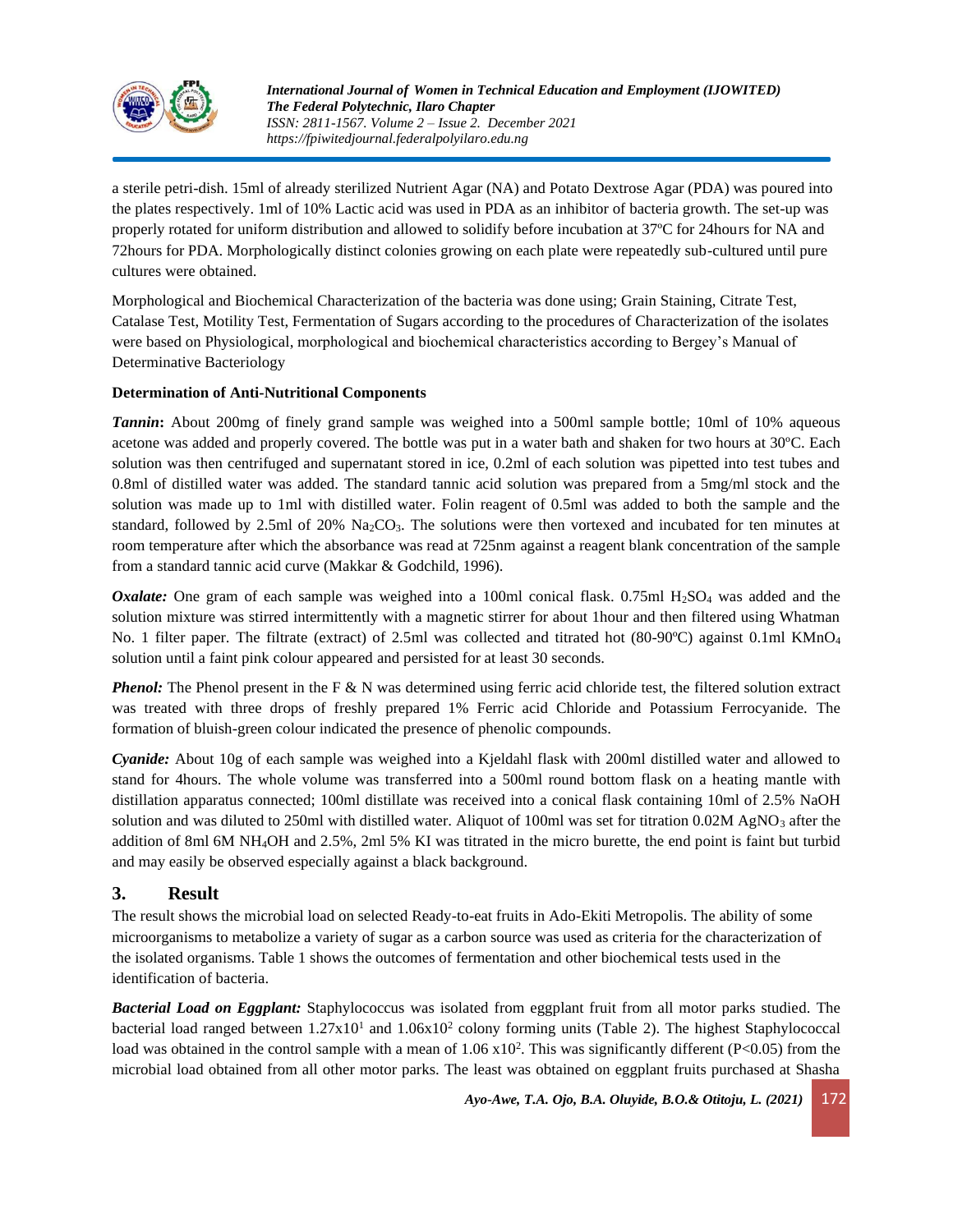

a sterile petri-dish. 15ml of already sterilized Nutrient Agar (NA) and Potato Dextrose Agar (PDA) was poured into the plates respectively. 1ml of 10% Lactic acid was used in PDA as an inhibitor of bacteria growth. The set-up was properly rotated for uniform distribution and allowed to solidify before incubation at 37ºC for 24hours for NA and 72hours for PDA. Morphologically distinct colonies growing on each plate were repeatedly sub-cultured until pure cultures were obtained.

Morphological and Biochemical Characterization of the bacteria was done using; Grain Staining, Citrate Test, Catalase Test, Motility Test, Fermentation of Sugars according to the procedures of Characterization of the isolates were based on Physiological, morphological and biochemical characteristics according to Bergey's Manual of Determinative Bacteriology

### **Determination of Anti-Nutritional Components**

*Tannin*: About 200mg of finely grand sample was weighed into a 500ml sample bottle; 10ml of 10% aqueous acetone was added and properly covered. The bottle was put in a water bath and shaken for two hours at 30ºC. Each solution was then centrifuged and supernatant stored in ice, 0.2ml of each solution was pipetted into test tubes and 0.8ml of distilled water was added. The standard tannic acid solution was prepared from a 5mg/ml stock and the solution was made up to 1ml with distilled water. Folin reagent of 0.5ml was added to both the sample and the standard, followed by 2.5ml of 20%  $\text{Na}_2\text{CO}_3$ . The solutions were then vortexed and incubated for ten minutes at room temperature after which the absorbance was read at 725nm against a reagent blank concentration of the sample from a standard tannic acid curve (Makkar & Godchild, 1996).

*Oxalate:* One gram of each sample was weighed into a 100ml conical flask. 0.75ml H<sub>2</sub>SO<sub>4</sub> was added and the solution mixture was stirred intermittently with a magnetic stirrer for about 1hour and then filtered using Whatman No. 1 filter paper. The filtrate (extract) of 2.5ml was collected and titrated hot (80-90°C) against 0.1ml KMnO<sub>4</sub> solution until a faint pink colour appeared and persisted for at least 30 seconds.

*Phenol:* The Phenol present in the F & N was determined using ferric acid chloride test, the filtered solution extract was treated with three drops of freshly prepared 1% Ferric acid Chloride and Potassium Ferrocyanide. The formation of bluish-green colour indicated the presence of phenolic compounds.

*Cyanide:* About 10g of each sample was weighed into a Kjeldahl flask with 200ml distilled water and allowed to stand for 4hours. The whole volume was transferred into a 500ml round bottom flask on a heating mantle with distillation apparatus connected; 100ml distillate was received into a conical flask containing 10ml of 2.5% NaOH solution and was diluted to 250ml with distilled water. Aliquot of 100ml was set for titration  $0.02M$  AgNO<sub>3</sub> after the addition of 8ml 6M NH4OH and 2.5%, 2ml 5% KI was titrated in the micro burette, the end point is faint but turbid and may easily be observed especially against a black background.

### **3. Result**

The result shows the microbial load on selected Ready-to-eat fruits in Ado-Ekiti Metropolis. The ability of some microorganisms to metabolize a variety of sugar as a carbon source was used as criteria for the characterization of the isolated organisms. Table 1 shows the outcomes of fermentation and other biochemical tests used in the identification of bacteria.

*Bacterial Load on Eggplant:* Staphylococcus was isolated from eggplant fruit from all motor parks studied. The bacterial load ranged between 1.27x10<sup>1</sup> and 1.06x10<sup>2</sup> colony forming units (Table 2). The highest Staphylococcal load was obtained in the control sample with a mean of  $1.06 \times 10^2$ . This was significantly different (P<0.05) from the microbial load obtained from all other motor parks. The least was obtained on eggplant fruits purchased at Shasha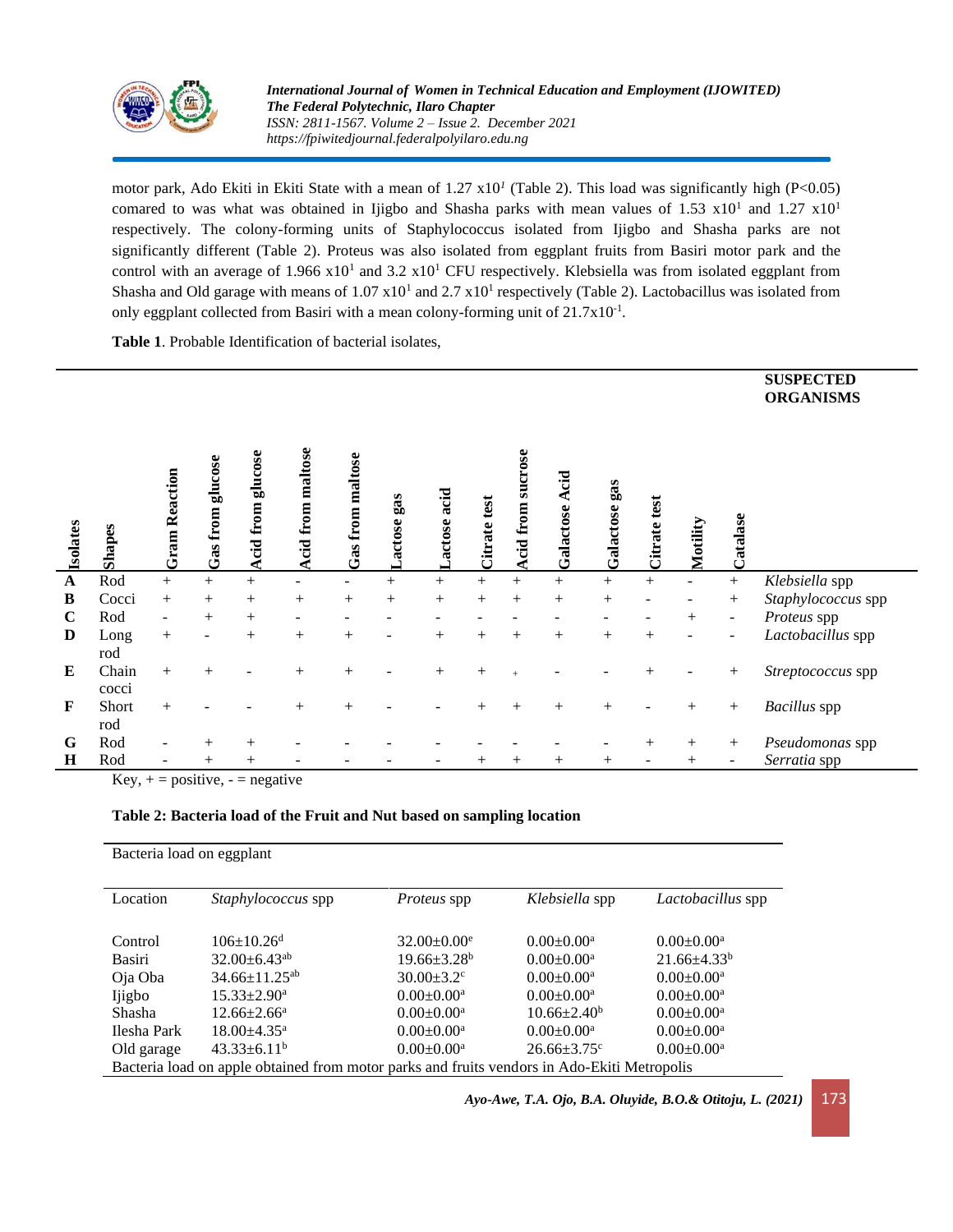

*International Journal of Women in Technical Education and Employment (IJOWITED) The Federal Polytechnic, Ilaro Chapter ISSN: 2811-1567. Volume 2 – Issue 2. December 2021 https://fpiwitedjournal.federalpolyilaro.edu.ng*

motor park, Ado Ekiti in Ekiti State with a mean of 1.27 x10*<sup>1</sup>* (Table 2). This load was significantly high (P<0.05) comared to was what was obtained in Ijigbo and Shasha parks with mean values of  $1.53 \times 10^{1}$  and  $1.27 \times 10^{1}$ respectively. The colony-forming units of Staphylococcus isolated from Ijigbo and Shasha parks are not significantly different (Table 2). Proteus was also isolated from eggplant fruits from Basiri motor park and the control with an average of  $1.966 \times 10^{1}$  and  $3.2 \times 10^{1}$  CFU respectively. Klebsiella was from isolated eggplant from Shasha and Old garage with means of  $1.07 \times 10^{1}$  and  $2.7 \times 10^{1}$  respectively (Table 2). Lactobacillus was isolated from only eggplant collected from Basiri with a mean colony-forming unit of  $21.7 \times 10^{-1}$ .

**Table 1**. Probable Identification of bacterial isolates,

|              |                |                      |                     |                          |                     |                  |               |             |                    |                             |                    |                    |              |          |          | <b>SUSPECTED</b><br><b>ORGANISMS</b> |
|--------------|----------------|----------------------|---------------------|--------------------------|---------------------|------------------|---------------|-------------|--------------------|-----------------------------|--------------------|--------------------|--------------|----------|----------|--------------------------------------|
| Isolates     | <b>Shapes</b>  | <b>Gram Reaction</b> | glucose<br>Gas from | glucose<br>from<br>kcid. | maltose<br>cid from | Gas from maltose | gas<br>actose | actose acid | Citrate test       | sucrose<br><b>Acid</b> from | Acid<br>Galactose  | gas<br>Galactose   | Citrate test | Motility | Catalase |                                      |
| $\mathbf{A}$ | Rod            | $+$                  | $^{+}$              | $+$                      |                     |                  | $^{+}$        | $+$         | $+$                | $+$                         | $^{+}$             | $^{+}$             | $+$          |          | $^{+}$   | Klebsiella spp                       |
| $\bf{B}$     | Cocci          | $+$                  | $^{+}$              | $\mathrm{+}$             | $^{+}$              | $^{+}$           | $^{+}$        | $^{+}$      | $^{+}$             | $^{+}$                      | $^{+}$             | $^{+}$             |              |          | $^{+}$   | Staphylococcus spp                   |
| $\mathbf C$  | Rod            |                      | $^{+}$              | $\hspace{0.1mm} +$       |                     |                  |               |             |                    |                             |                    |                    |              | $^{+}$   |          | Proteus spp                          |
| D            | Long<br>rod    | $+$                  |                     | $^{+}$                   | $^{+}$              | $^{+}$           |               | $^{+}$      | $^{+}$             | $+$                         | $^{+}$             | $^{+}$             | $^{+}$       |          |          | Lactobacillus spp                    |
| E            | Chain<br>cocci | $+$                  | $^{+}$              |                          | $^{+}$              | $^{+}$           |               | $^{+}$      | $\mathrm{+}$       |                             |                    |                    |              |          | $^{+}$   | Streptococcus spp                    |
| $\mathbf F$  | Short<br>rod   | $+$                  |                     |                          |                     | $^{+}$           |               |             |                    | $^{+}$                      | $^{+}$             | $^{+}$             |              | $+$      | $^{+}$   | Bacillus spp                         |
| G            | Rod            |                      |                     | $\! +$                   |                     |                  |               |             |                    |                             |                    |                    | $^{+}$       | $^{+}$   | $^{+}$   | Pseudomonas spp                      |
| $\bf H$      | Rod            |                      |                     | $^{+}$                   |                     |                  |               |             | $\hspace{0.1mm} +$ | $^{+}$                      | $\hspace{0.1mm} +$ | $\hspace{0.1mm} +$ |              | $+$      |          | Serratia spp                         |

Key,  $+$  = positive,  $-$  = negative

### **Table 2: Bacteria load of the Fruit and Nut based on sampling location**

| Bacteria load on eggplant                                                                   |                                |                              |                               |                    |  |  |  |  |
|---------------------------------------------------------------------------------------------|--------------------------------|------------------------------|-------------------------------|--------------------|--|--|--|--|
| Location                                                                                    | <i>Staphylococcus</i> spp      | <i>Proteus</i> spp           | Klebsiella spp                | Lactobacillus spp  |  |  |  |  |
| Control                                                                                     | $106 \pm 10.26$ <sup>d</sup>   | $32.00 \pm 0.00^e$           | $0.00 \pm 0.00^a$             | $0.00 \pm 0.00^a$  |  |  |  |  |
| Basiri                                                                                      | $32.00 \pm 6.43$ <sup>ab</sup> | $19.66 \pm 3.28^b$           | $0.00 \pm 0.00^a$             | $21.66 \pm 4.33^b$ |  |  |  |  |
| Oja Oba                                                                                     | $34.66 \pm 11.25^{ab}$         | $30.00 \pm 3.2$ <sup>c</sup> | $0.00 \pm 0.00^a$             | $0.00 \pm 0.00^a$  |  |  |  |  |
| Ijigbo                                                                                      | $15.33 \pm 2.90^{\mathrm{a}}$  | $0.00 \pm 0.00^a$            | $0.00 \pm 0.00^a$             | $0.00 \pm 0.00^a$  |  |  |  |  |
| Shasha                                                                                      | $12.66 \pm 2.66^{\mathrm{a}}$  | $0.00 \pm 0.00^a$            | $10.66 \pm 2.40^{\circ}$      | $0.00 \pm 0.00^a$  |  |  |  |  |
| Ilesha Park                                                                                 | $18.00 + 4.35$ <sup>a</sup>    | $0.00 \pm 0.00^a$            | $0.00 \pm 0.00^a$             | $0.00 \pm 0.00^a$  |  |  |  |  |
| Old garage                                                                                  | $43.33 \pm 6.11^b$             | $0.00 \pm 0.00^a$            | $26.66 \pm 3.75$ <sup>c</sup> | $0.00 \pm 0.00^a$  |  |  |  |  |
| Bacteria load on apple obtained from motor parks and fruits vendors in Ado-Ekiti Metropolis |                                |                              |                               |                    |  |  |  |  |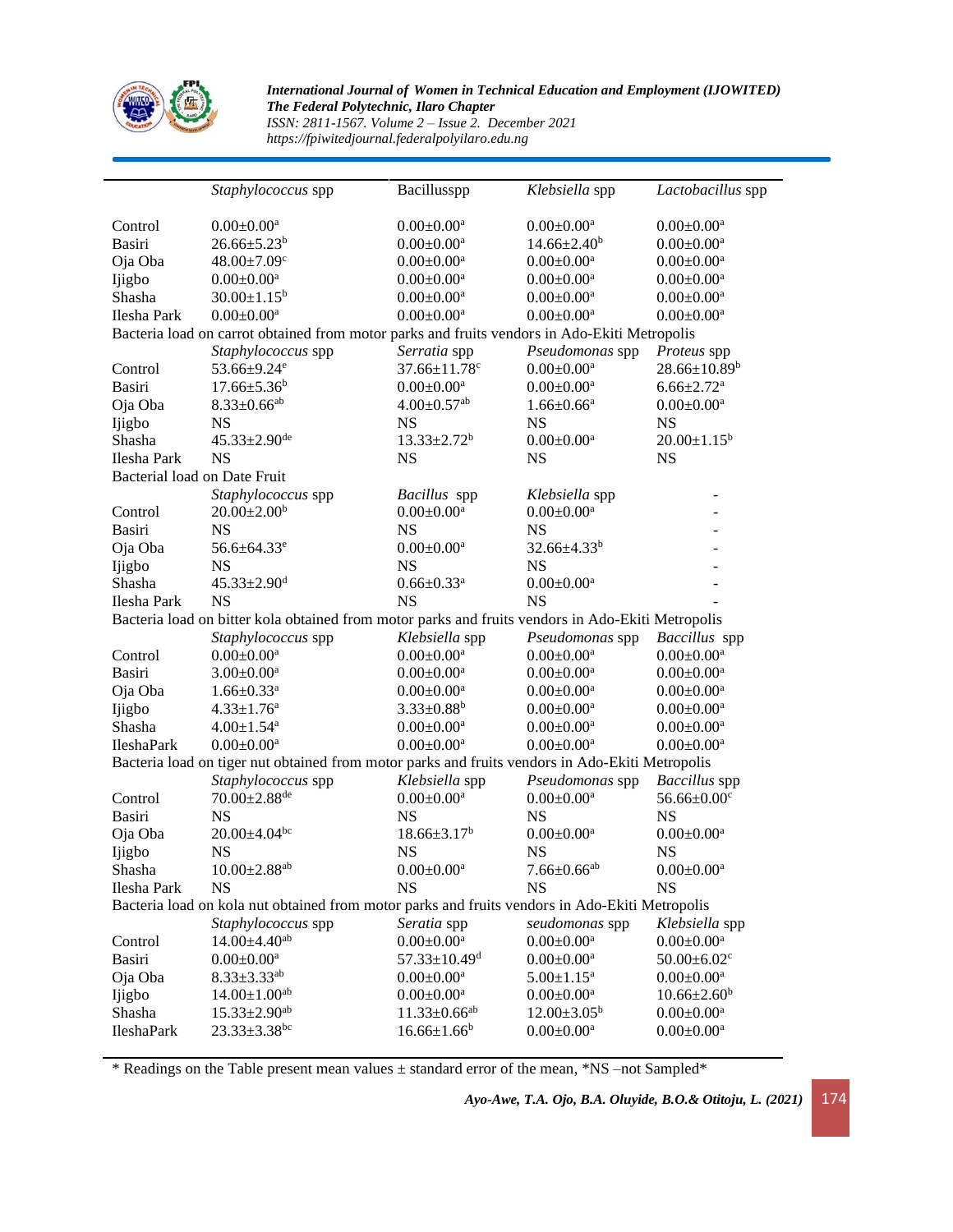

*International Journal of Women in Technical Education and Employment (IJOWITED) The Federal Polytechnic, Ilaro Chapter ISSN: 2811-1567. Volume 2 – Issue 2. December 2021*

*https://fpiwitedjournal.federalpolyilaro.edu.ng*

|                                                                                                                                                                                                          | Staphylococcus spp                                                                           | Bacillusspp                    | Klebsiella spp                | Lactobacillus spp             |  |  |  |  |  |  |
|----------------------------------------------------------------------------------------------------------------------------------------------------------------------------------------------------------|----------------------------------------------------------------------------------------------|--------------------------------|-------------------------------|-------------------------------|--|--|--|--|--|--|
|                                                                                                                                                                                                          |                                                                                              |                                |                               |                               |  |  |  |  |  |  |
| Control                                                                                                                                                                                                  | $0.00 \pm 0.00^a$                                                                            | $0.00 \pm 0.00^a$              | $0.00 \pm 0.00^a$             | $0.00 \pm 0.00^a$             |  |  |  |  |  |  |
| Basiri                                                                                                                                                                                                   | $26.66 \pm 5.23^b$                                                                           | $0.00 \pm 0.00^a$              | $14.66 \pm 2.40^b$            | $0.00 \pm 0.00^a$             |  |  |  |  |  |  |
| Oja Oba                                                                                                                                                                                                  | $48.00 \pm 7.09$ <sup>c</sup>                                                                | $0.00 \pm 0.00^a$              | $0.00\pm0.00^{\rm a}$         | $0.00 \pm 0.00^a$             |  |  |  |  |  |  |
| Ijigbo                                                                                                                                                                                                   | $0.00 \pm 0.00^a$                                                                            | $0.00 \pm 0.00^a$              | $0.00 \pm 0.00$ <sup>a</sup>  | $0.00 \pm 0.00^a$             |  |  |  |  |  |  |
| Shasha                                                                                                                                                                                                   | $30.00 \pm 1.15^b$                                                                           | $0.00 \pm 0.00^a$              | $0.00 \pm 0.00^a$             | $0.00 \pm 0.00^a$             |  |  |  |  |  |  |
| Ilesha Park                                                                                                                                                                                              | $0.00 \pm 0.00^a$                                                                            | $0.00 \pm 0.00^a$              | $0.00 \pm 0.00$ <sup>a</sup>  | $0.00 \pm 0.00^a$             |  |  |  |  |  |  |
|                                                                                                                                                                                                          | Bacteria load on carrot obtained from motor parks and fruits vendors in Ado-Ekiti Metropolis |                                |                               |                               |  |  |  |  |  |  |
|                                                                                                                                                                                                          | Staphylococcus spp                                                                           | Serratia spp                   | Pseudomonas spp               | Proteus spp                   |  |  |  |  |  |  |
| Control                                                                                                                                                                                                  | 53.66±9.24 <sup>e</sup>                                                                      | $37.66 \pm 11.78$ c            | $0.00 \pm 0.00^a$             | $28.66 \pm 10.89^b$           |  |  |  |  |  |  |
| <b>Basiri</b>                                                                                                                                                                                            | $17.66 \pm 5.36^b$                                                                           | $0.00 \pm 0.00^a$              | $0.00 \pm 0.00^a$             | $6.66 \pm 2.72$ <sup>a</sup>  |  |  |  |  |  |  |
| Oja Oba                                                                                                                                                                                                  | $8.33 \pm 0.66$ <sup>ab</sup>                                                                | $4.00 \pm 0.57$ <sup>ab</sup>  | $1.66 \pm 0.66^a$             | $0.00 \pm 0.00^a$             |  |  |  |  |  |  |
| Ijigbo                                                                                                                                                                                                   | <b>NS</b>                                                                                    | <b>NS</b>                      | <b>NS</b>                     | <b>NS</b>                     |  |  |  |  |  |  |
| Shasha                                                                                                                                                                                                   | $45.33 \pm 2.90$ <sup>de</sup>                                                               | $13.33 \pm 2.72^b$             | $0.00 \pm 0.00^a$             | $20.00 \pm 1.15^b$            |  |  |  |  |  |  |
| Ilesha Park                                                                                                                                                                                              | <b>NS</b>                                                                                    | <b>NS</b>                      | <b>NS</b>                     | <b>NS</b>                     |  |  |  |  |  |  |
| Bacterial load on Date Fruit                                                                                                                                                                             |                                                                                              |                                |                               |                               |  |  |  |  |  |  |
|                                                                                                                                                                                                          | Staphylococcus spp                                                                           | Bacillus spp                   | Klebsiella spp                |                               |  |  |  |  |  |  |
| Control                                                                                                                                                                                                  | $20.00 \pm 2.00^b$                                                                           | $0.00 \pm 0.00^a$              | $0.00 \pm 0.00^a$             |                               |  |  |  |  |  |  |
| Basiri                                                                                                                                                                                                   | <b>NS</b>                                                                                    | <b>NS</b>                      | <b>NS</b>                     |                               |  |  |  |  |  |  |
| Oja Oba                                                                                                                                                                                                  | 56.6±64.33 <sup>e</sup>                                                                      | $0.00 \pm 0.00^a$              | $32.66\pm4.33^b$              |                               |  |  |  |  |  |  |
| Ijigbo                                                                                                                                                                                                   | <b>NS</b>                                                                                    | <b>NS</b>                      | <b>NS</b>                     |                               |  |  |  |  |  |  |
| Shasha                                                                                                                                                                                                   | $45.33 \pm 2.90$ <sup>d</sup>                                                                | $0.66 \pm 0.33$ <sup>a</sup>   | $0.00 \pm 0.00^a$             |                               |  |  |  |  |  |  |
| Ilesha Park                                                                                                                                                                                              | <b>NS</b>                                                                                    | <b>NS</b>                      | <b>NS</b>                     |                               |  |  |  |  |  |  |
|                                                                                                                                                                                                          |                                                                                              |                                |                               |                               |  |  |  |  |  |  |
| Bacteria load on bitter kola obtained from motor parks and fruits vendors in Ado-Ekiti Metropolis<br>Klebsiella spp<br>Baccillus spp<br>Staphylococcus spp<br>Pseudomonas spp                            |                                                                                              |                                |                               |                               |  |  |  |  |  |  |
| Control                                                                                                                                                                                                  | $0.00 \pm 0.00^{\mathrm{a}}$                                                                 | $0.00 \pm 0.00^a$              | $0.00 \pm 0.00^a$             | $0.00 \pm 0.00^a$             |  |  |  |  |  |  |
| Basiri                                                                                                                                                                                                   | $3.00 \pm 0.00^a$                                                                            | $0.00 \pm 0.00^a$              | $0.00 \pm 0.00^a$             | $0.00 \pm 0.00^a$             |  |  |  |  |  |  |
| Oja Oba                                                                                                                                                                                                  | $1.66 \pm 0.33$ <sup>a</sup>                                                                 | $0.00\pm0.00^{\rm a}$          | $0.00 \pm 0.00^a$             | $0.00 \pm 0.00^a$             |  |  |  |  |  |  |
|                                                                                                                                                                                                          |                                                                                              | $3.33 \pm 0.88$ <sup>b</sup>   | $0.00 \pm 0.00$ <sup>a</sup>  | $0.00 \pm 0.00^a$             |  |  |  |  |  |  |
| Ijigbo<br>Shasha                                                                                                                                                                                         | $4.33 \pm 1.76^a$                                                                            |                                |                               |                               |  |  |  |  |  |  |
|                                                                                                                                                                                                          | $4.00 \pm 1.54$ <sup>a</sup>                                                                 | $0.00 \pm 0.00^a$              | $0.00 \pm 0.00^a$             | $0.00 \pm 0.00^a$             |  |  |  |  |  |  |
| <b>IleshaPark</b><br>$0.00 \pm 0.00^a$<br>$0.00 \pm 0.00^a$<br>$0.00 \pm 0.00^a$<br>$0.00 \pm 0.00^a$<br>Bacteria load on tiger nut obtained from motor parks and fruits vendors in Ado-Ekiti Metropolis |                                                                                              |                                |                               |                               |  |  |  |  |  |  |
|                                                                                                                                                                                                          |                                                                                              |                                |                               |                               |  |  |  |  |  |  |
|                                                                                                                                                                                                          | Staphylococcus spp                                                                           | Klebsiella spp                 | Pseudomonas spp               | Baccillus spp                 |  |  |  |  |  |  |
| Control                                                                                                                                                                                                  | $70.00 \pm 2.88$ <sup>de</sup>                                                               | $0.00 \pm 0.00^a$              | $0.00 \pm 0.00^a$             | $56.66 \pm 0.00$ <sup>c</sup> |  |  |  |  |  |  |
| Basiri                                                                                                                                                                                                   | <b>NS</b>                                                                                    | <b>NS</b>                      | <b>NS</b>                     | <b>NS</b>                     |  |  |  |  |  |  |
| Oja Oba                                                                                                                                                                                                  | $20.00 \pm 4.04$ bc                                                                          | $18.66 \pm 3.17^b$             | $0.00 \pm 0.00^a$             | $0.00 \pm 0.00^a$             |  |  |  |  |  |  |
| Ijigbo                                                                                                                                                                                                   | <b>NS</b>                                                                                    | <b>NS</b>                      | <b>NS</b>                     | <b>NS</b>                     |  |  |  |  |  |  |
| Shasha                                                                                                                                                                                                   | $10.00 \pm 2.88$ <sup>ab</sup>                                                               | $0.00 \pm 0.00^a$              | $7.66 \pm 0.66$ <sup>ab</sup> | $0.00 \pm 0.00^a$             |  |  |  |  |  |  |
| Ilesha Park                                                                                                                                                                                              | <b>NS</b>                                                                                    | <b>NS</b>                      | <b>NS</b>                     | <b>NS</b>                     |  |  |  |  |  |  |
| Bacteria load on kola nut obtained from motor parks and fruits vendors in Ado-Ekiti Metropolis                                                                                                           |                                                                                              |                                |                               |                               |  |  |  |  |  |  |
|                                                                                                                                                                                                          | Staphylococcus spp                                                                           | Seratia spp                    | seudomonas spp                | Klebsiella spp                |  |  |  |  |  |  |
| Control                                                                                                                                                                                                  | $14.00\pm4.40^{ab}$                                                                          | $0.00 \pm 0.00^a$              | $0.00 \pm 0.00^a$             | $0.00\pm0.00^{\rm a}$         |  |  |  |  |  |  |
| Basiri                                                                                                                                                                                                   | $0.00\pm0.00^{\rm a}$                                                                        | $57.33 \pm 10.49$ <sup>d</sup> | $0.00 \pm 0.00^a$             | $50.00 \pm 6.02$ <sup>c</sup> |  |  |  |  |  |  |
| Oja Oba                                                                                                                                                                                                  | $8.33 \pm 3.33$ <sup>ab</sup>                                                                | $0.00 \pm 0.00^a$              | $5.00 \pm 1.15$ <sup>a</sup>  | $0.00 \pm 0.00^a$             |  |  |  |  |  |  |
| Ijigbo                                                                                                                                                                                                   | $14.00{\pm}1.00^{\text{ab}}$                                                                 | $0.00\pm0.00^{\rm a}$          | $0.00 \pm 0.00$ <sup>a</sup>  | $10.66 \pm 2.60^{\mathrm{b}}$ |  |  |  |  |  |  |
| Shasha                                                                                                                                                                                                   | $15.33 \pm 2.90^{ab}$                                                                        | $11.33 \pm 0.66$ <sup>ab</sup> | $12.00 \pm 3.05^{\rm b}$      | $0.00{\pm}0.00^{\mathrm{a}}$  |  |  |  |  |  |  |
| IleshaPark                                                                                                                                                                                               | $23.33 \pm 3.38$ bc                                                                          | $16.66 \pm 1.66^b$             | $0.00 \pm 0.00$ <sup>a</sup>  | $0.00 \pm 0.00$ <sup>a</sup>  |  |  |  |  |  |  |
|                                                                                                                                                                                                          |                                                                                              |                                |                               |                               |  |  |  |  |  |  |

\* Readings on the Table present mean values ± standard error of the mean, \*NS –not Sampled\*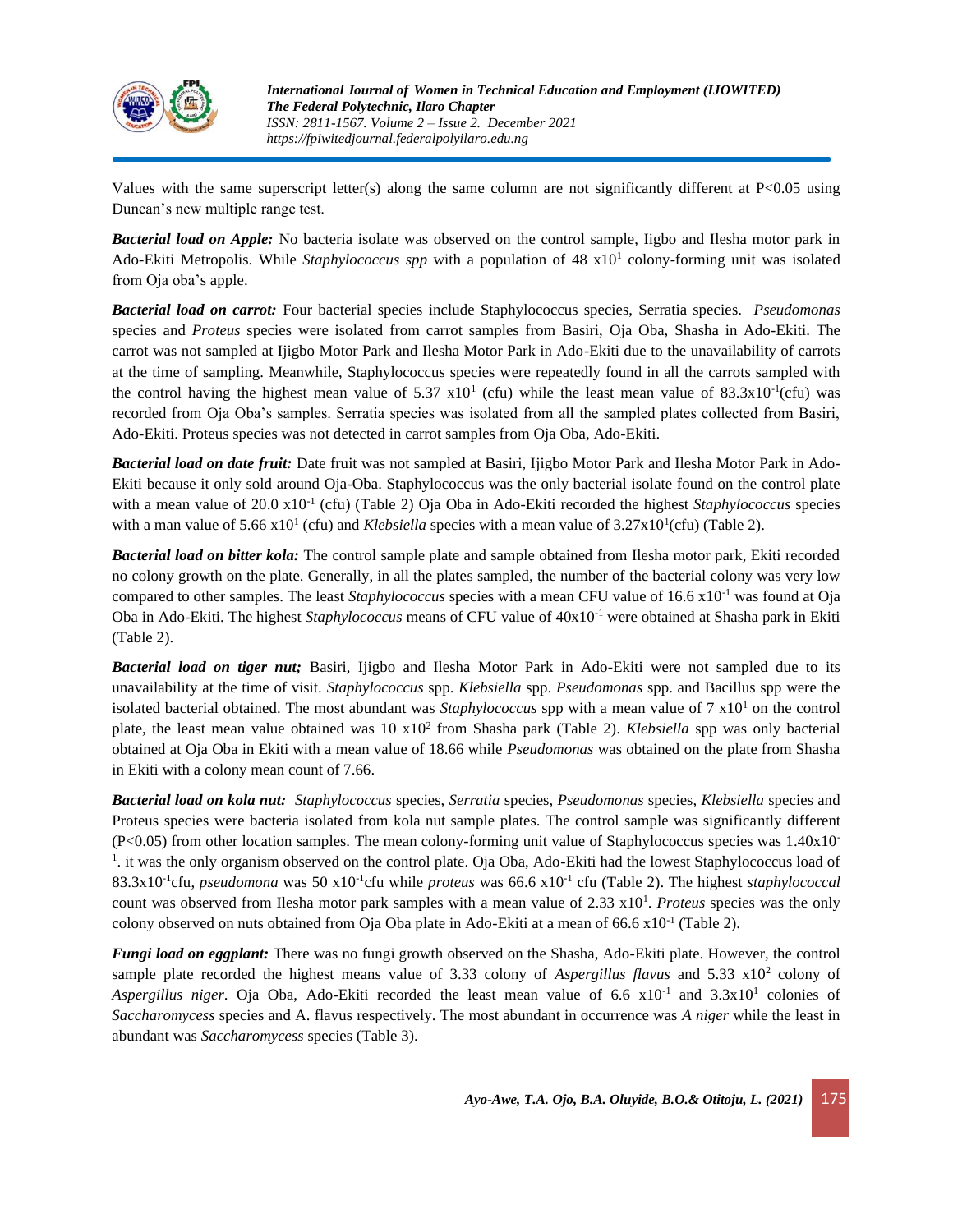

Values with the same superscript letter(s) along the same column are not significantly different at P<0.05 using Duncan's new multiple range test.

*Bacterial load on Apple:* No bacteria isolate was observed on the control sample, Iigbo and Ilesha motor park in Ado-Ekiti Metropolis. While Staphylococcus spp with a population of 48 x10<sup>1</sup> colony-forming unit was isolated from Oja oba's apple.

*Bacterial load on carrot:* Four bacterial species include Staphylococcus species, Serratia species. *Pseudomonas* species and *Proteus* species were isolated from carrot samples from Basiri, Oja Oba, Shasha in Ado-Ekiti. The carrot was not sampled at Ijigbo Motor Park and Ilesha Motor Park in Ado-Ekiti due to the unavailability of carrots at the time of sampling. Meanwhile, Staphylococcus species were repeatedly found in all the carrots sampled with the control having the highest mean value of 5.37  $x10<sup>1</sup>$  (cfu) while the least mean value of 83.3 $x10<sup>-1</sup>$ (cfu) was recorded from Oja Oba's samples. Serratia species was isolated from all the sampled plates collected from Basiri, Ado-Ekiti. Proteus species was not detected in carrot samples from Oja Oba, Ado-Ekiti.

*Bacterial load on date fruit:* Date fruit was not sampled at Basiri, Ijigbo Motor Park and Ilesha Motor Park in Ado-Ekiti because it only sold around Oja-Oba. Staphylococcus was the only bacterial isolate found on the control plate with a mean value of 20.0 x10<sup>-1</sup> (cfu) (Table 2) Oja Oba in Ado-Ekiti recorded the highest *Staphylococcus* species with a man value of 5.66  $x10^1$  (cfu) and *Klebsiella* species with a mean value of  $3.27x10^1$ (cfu) (Table 2).

*Bacterial load on bitter kola:* The control sample plate and sample obtained from Ilesha motor park, Ekiti recorded no colony growth on the plate. Generally, in all the plates sampled, the number of the bacterial colony was very low compared to other samples. The least *Staphylococcus* species with a mean CFU value of 16.6 x10-1 was found at Oja Oba in Ado-Ekiti. The highest *Staphylococcus* means of CFU value of 40x10-1 were obtained at Shasha park in Ekiti (Table 2).

*Bacterial load on tiger nut;* Basiri, Ijigbo and Ilesha Motor Park in Ado-Ekiti were not sampled due to its unavailability at the time of visit. *Staphylococcus* spp. *Klebsiella* spp. *Pseudomonas* spp. and Bacillus spp were the isolated bacterial obtained. The most abundant was *Staphylococcus* spp with a mean value of  $7 \times 10^{1}$  on the control plate, the least mean value obtained was 10 x10<sup>2</sup> from Shasha park (Table 2). *Klebsiella* spp was only bacterial obtained at Oja Oba in Ekiti with a mean value of 18.66 while *Pseudomonas* was obtained on the plate from Shasha in Ekiti with a colony mean count of 7.66.

*Bacterial load on kola nut: Staphylococcus* species, *Serratia* species, *Pseudomonas* species, *Klebsiella* species and Proteus species were bacteria isolated from kola nut sample plates. The control sample was significantly different  $(P<0.05)$  from other location samples. The mean colony-forming unit value of Staphylococcus species was  $1.40x10$ <sup>-</sup> 1 . it was the only organism observed on the control plate. Oja Oba, Ado-Ekiti had the lowest Staphylococcus load of 83.3x10-1 cfu, *pseudomona* was 50 x10-1 cfu while *proteus* was 66.6 x10-1 cfu (Table 2). The highest *staphylococcal* count was observed from Ilesha motor park samples with a mean value of 2.33 x10<sup>1</sup>. *Proteus* species was the only colony observed on nuts obtained from Oja Oba plate in Ado-Ekiti at a mean of 66.6 x10<sup>-1</sup> (Table 2).

*Fungi load on eggplant:* There was no fungi growth observed on the Shasha, Ado-Ekiti plate. However, the control sample plate recorded the highest means value of 3.33 colony of *Aspergillus flavus* and 5.33 x10<sup>2</sup> colony of Aspergillus niger. Oja Oba, Ado-Ekiti recorded the least mean value of 6.6 x10<sup>-1</sup> and 3.3x10<sup>1</sup> colonies of *Saccharomycess* species and A. flavus respectively. The most abundant in occurrence was *A niger* while the least in abundant was *Saccharomycess* species (Table 3).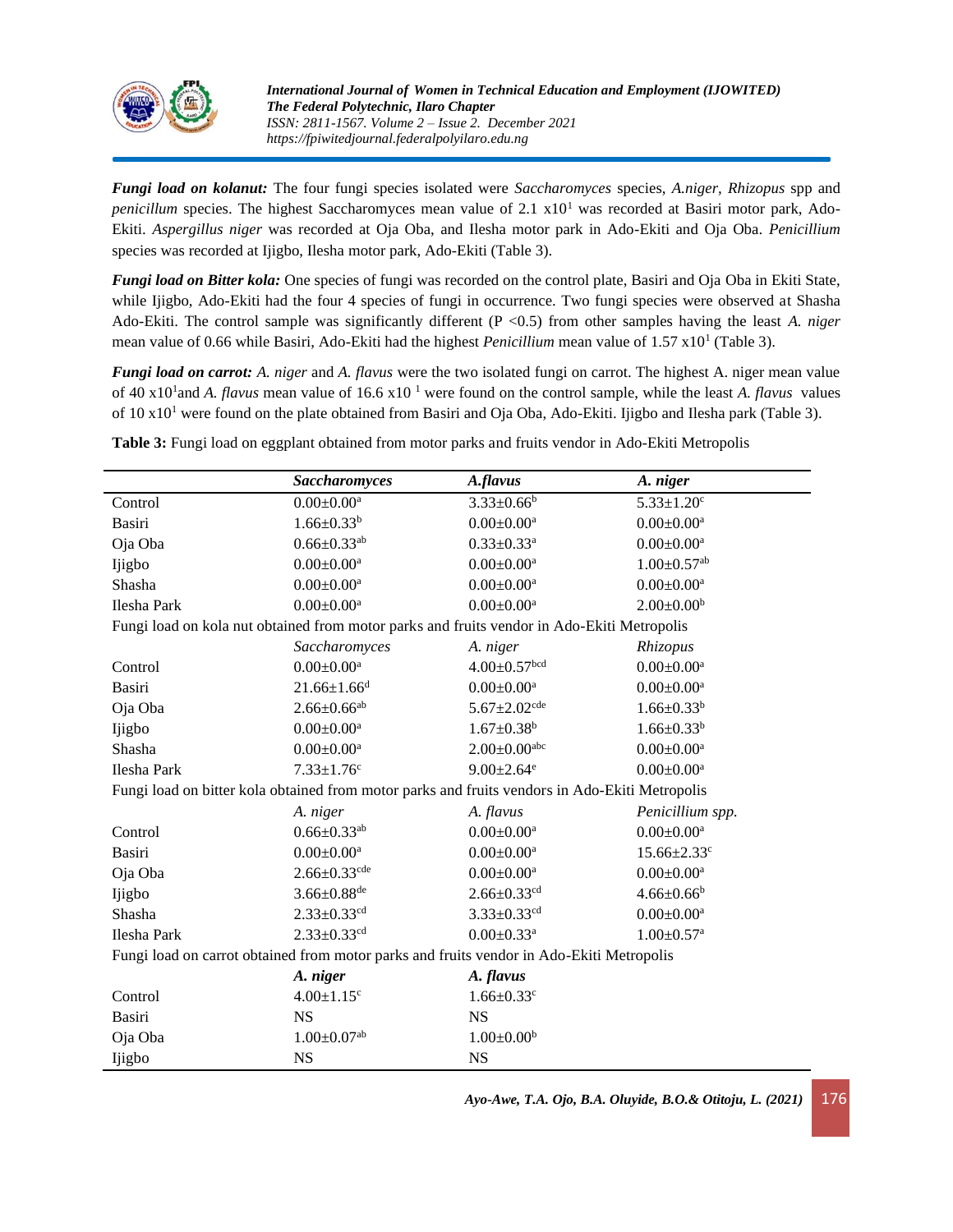

*Fungi load on kolanut:* The four fungi species isolated were *Saccharomyces* species, *A.niger, Rhizopus* spp and *penicillum* species. The highest Saccharomyces mean value of 2.1 x10<sup>1</sup> was recorded at Basiri motor park, Ado-Ekiti. *Aspergillus niger* was recorded at Oja Oba, and Ilesha motor park in Ado-Ekiti and Oja Oba. *Penicillium* species was recorded at Ijigbo, Ilesha motor park, Ado-Ekiti (Table 3).

*Fungi load on Bitter kola:* One species of fungi was recorded on the control plate, Basiri and Oja Oba in Ekiti State, while Ijigbo, Ado-Ekiti had the four 4 species of fungi in occurrence. Two fungi species were observed at Shasha Ado-Ekiti. The control sample was significantly different (P <0.5) from other samples having the least *A. niger* mean value of 0.66 while Basiri, Ado-Ekiti had the highest *Penicillium* mean value of 1.57 x10<sup>1</sup> (Table 3).

*Fungi load on carrot: A. niger* and *A. flavus* were the two isolated fungi on carrot. The highest A. niger mean value of 40 x10<sup>1</sup> and *A. flavus* mean value of 16.6 x10 <sup>1</sup> were found on the control sample, while the least *A. flavus* values of 10 x10<sup>1</sup> were found on the plate obtained from Basiri and Oja Oba, Ado-Ekiti. Ijigbo and Ilesha park (Table 3).

|                                                                                                | <b>Saccharomyces</b>          | A.flavus                       | A. niger                      |  |  |  |  |  |
|------------------------------------------------------------------------------------------------|-------------------------------|--------------------------------|-------------------------------|--|--|--|--|--|
| Control                                                                                        | $0.00 \pm 0.00^{\mathrm{a}}$  | $3.33 \pm 0.66^b$              | $5.33 \pm 1.20$ <sup>c</sup>  |  |  |  |  |  |
| Basiri                                                                                         | $1.66 \pm 0.33^b$             | $0.00 \pm 0.00^{\mathrm{a}}$   | $0.00 \pm 0.00^a$             |  |  |  |  |  |
| Oja Oba                                                                                        | $0.66 \pm 0.33$ <sup>ab</sup> | $0.33 \pm 0.33$ <sup>a</sup>   | $0.00 \pm 0.00^{\mathrm{a}}$  |  |  |  |  |  |
| Ijigbo                                                                                         | $0.00 \pm 0.00^{\mathrm{a}}$  | $0.00 \pm 0.00^{\mathrm{a}}$   | $1.00 \pm 0.57$ <sup>ab</sup> |  |  |  |  |  |
| Shasha                                                                                         | $0.00 \pm 0.00^a$             | $0.00 \pm 0.00^a$              | $0.00 \pm 0.00^{\mathrm{a}}$  |  |  |  |  |  |
| Ilesha Park                                                                                    | $0.00 \pm 0.00^a$             | $0.00 \pm 0.00^a$              | $2.00 \pm 0.00^b$             |  |  |  |  |  |
| Fungi load on kola nut obtained from motor parks and fruits vendor in Ado-Ekiti Metropolis     |                               |                                |                               |  |  |  |  |  |
|                                                                                                | Saccharomyces                 | A. niger                       | Rhizopus                      |  |  |  |  |  |
| Control                                                                                        | $0.00 \pm 0.00$ <sup>a</sup>  | $4.00 \pm 0.57$ bcd            | $0.00 \pm 0.00^{\mathrm{a}}$  |  |  |  |  |  |
| Basiri                                                                                         | $21.66 \pm 1.66$ <sup>d</sup> | $0.00 \pm 0.00$ <sup>a</sup>   | $0.00 \pm 0.00^{\mathrm{a}}$  |  |  |  |  |  |
| Oja Oba                                                                                        | $2.66 \pm 0.66$ <sup>ab</sup> | $5.67 \pm 2.02$ <sup>cde</sup> | $1.66 \pm 0.33^b$             |  |  |  |  |  |
| Ijigbo                                                                                         | $0.00 \pm 0.00^a$             | $1.67 \pm 0.38$ <sup>b</sup>   | $1.66 \pm 0.33^b$             |  |  |  |  |  |
| Shasha                                                                                         | $0.00 \pm 0.00^a$             | $2.00 \pm 0.00$ abc            | $0.00 \pm 0.00^a$             |  |  |  |  |  |
| Ilesha Park                                                                                    | $7.33 \pm 1.76$ c             | $9.00 \pm 2.64$ <sup>e</sup>   | $0.00 \pm 0.00$ <sup>a</sup>  |  |  |  |  |  |
| Fungi load on bitter kola obtained from motor parks and fruits vendors in Ado-Ekiti Metropolis |                               |                                |                               |  |  |  |  |  |
|                                                                                                | A. niger                      | A. flavus                      | Penicillium spp.              |  |  |  |  |  |
| Control                                                                                        | $0.66 \pm 0.33$ <sup>ab</sup> | $0.00 \pm 0.00^a$              | $0.00 \pm 0.00$ <sup>a</sup>  |  |  |  |  |  |
| <b>Basiri</b>                                                                                  | $0.00 \pm 0.00^a$             | $0.00 \pm 0.00^a$              | $15.66 \pm 2.33$ <sup>c</sup> |  |  |  |  |  |
| Oja Oba                                                                                        | $2.66 \pm 0.33$ cde           | $0.00 \pm 0.00^{\mathrm{a}}$   | $0.00 \pm 0.00^{\mathrm{a}}$  |  |  |  |  |  |
| Ijigbo                                                                                         | $3.66 \pm 0.88$ <sup>de</sup> | $2.66 \pm 0.33$ <sup>cd</sup>  | $4.66 \pm 0.66^b$             |  |  |  |  |  |
| Shasha                                                                                         | $2.33 \pm 0.33$ <sup>cd</sup> | $3.33 \pm 0.33$ <sup>cd</sup>  | $0.00 \pm 0.00$ <sup>a</sup>  |  |  |  |  |  |
| Ilesha Park                                                                                    | $2.33 \pm 0.33$ <sup>cd</sup> | $0.00 \pm 0.33$ <sup>a</sup>   | $1.00 \pm 0.57$ <sup>a</sup>  |  |  |  |  |  |
| Fungi load on carrot obtained from motor parks and fruits vendor in Ado-Ekiti Metropolis       |                               |                                |                               |  |  |  |  |  |
|                                                                                                | A. niger                      | A. flavus                      |                               |  |  |  |  |  |
| Control                                                                                        | $4.00 \pm 1.15$ <sup>c</sup>  | $1.66 \pm 0.33$ <sup>c</sup>   |                               |  |  |  |  |  |
| <b>Basiri</b>                                                                                  | <b>NS</b>                     | <b>NS</b>                      |                               |  |  |  |  |  |
| Oja Oba                                                                                        | $1.00 \pm 0.07$ <sup>ab</sup> | $1.00 \pm 0.00^b$              |                               |  |  |  |  |  |
| Ijigbo                                                                                         | <b>NS</b>                     | <b>NS</b>                      |                               |  |  |  |  |  |

**Table 3:** Fungi load on eggplant obtained from motor parks and fruits vendor in Ado-Ekiti Metropolis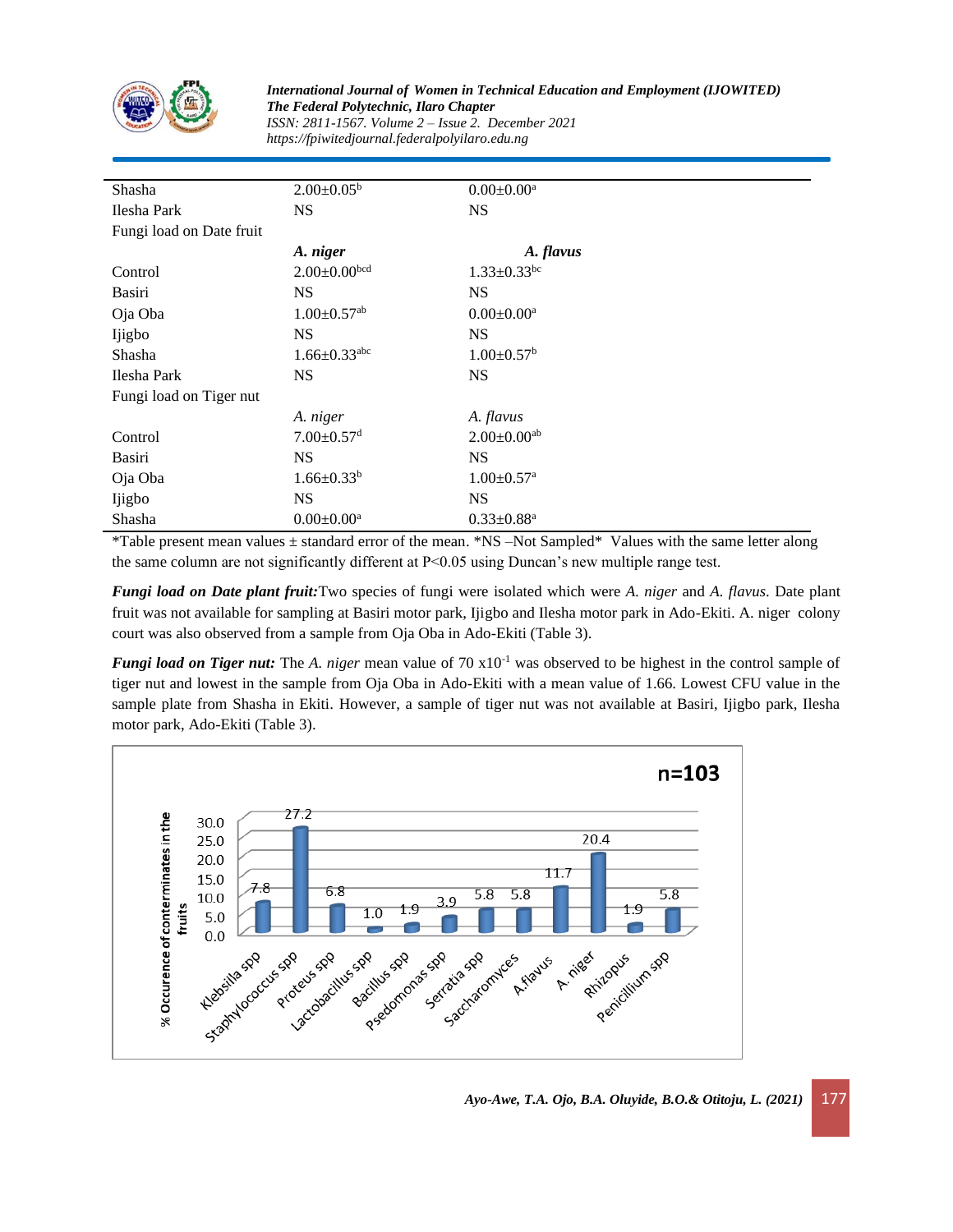

*International Journal of Women in Technical Education and Employment (IJOWITED) The Federal Polytechnic, Ilaro Chapter ISSN: 2811-1567. Volume 2 – Issue 2. December 2021 https://fpiwitedjournal.federalpolyilaro.edu.ng*

| Shasha                   | $2.00\pm0.05^{\rm b}$          | $0.00 \pm 0.00^a$             |  |  |  |  |  |
|--------------------------|--------------------------------|-------------------------------|--|--|--|--|--|
| Ilesha Park              | <b>NS</b>                      | <b>NS</b>                     |  |  |  |  |  |
| Fungi load on Date fruit |                                |                               |  |  |  |  |  |
|                          | A. niger                       | A. flavus                     |  |  |  |  |  |
| Control                  | $2.00 \pm 0.00$ bcd            | $1.33 \pm 0.33$ <sup>bc</sup> |  |  |  |  |  |
| Basiri                   | <b>NS</b>                      | <b>NS</b>                     |  |  |  |  |  |
| Oja Oba                  | $1.00 \pm 0.57$ <sup>ab</sup>  | $0.00 \pm 0.00^a$             |  |  |  |  |  |
| Ijigbo                   | <b>NS</b>                      | <b>NS</b>                     |  |  |  |  |  |
| Shasha                   | $1.66 \pm 0.33$ <sup>abc</sup> | $1.00 \pm 0.57$ <sup>b</sup>  |  |  |  |  |  |
| Ilesha Park              | <b>NS</b>                      | <b>NS</b>                     |  |  |  |  |  |
| Fungi load on Tiger nut  |                                |                               |  |  |  |  |  |
|                          | A. niger                       | A. flavus                     |  |  |  |  |  |
| Control                  | $7.00 \pm 0.57$ <sup>d</sup>   | $2.00 \pm 0.00$ <sup>ab</sup> |  |  |  |  |  |
| Basiri                   | <b>NS</b>                      | <b>NS</b>                     |  |  |  |  |  |
| Oja Oba                  | $1.66 \pm 0.33^b$              | $1.00 \pm 0.57$ <sup>a</sup>  |  |  |  |  |  |
| Ijigbo                   | <b>NS</b>                      | <b>NS</b>                     |  |  |  |  |  |
| Shasha                   | $0.00 \pm 0.00^a$              | $0.33 \pm 0.88$ <sup>a</sup>  |  |  |  |  |  |

\*Table present mean values ± standard error of the mean. \*NS –Not Sampled\* Values with the same letter along the same column are not significantly different at P<0.05 using Duncan's new multiple range test.

*Fungi load on Date plant fruit:*Two species of fungi were isolated which were *A. niger* and *A. flavus*. Date plant fruit was not available for sampling at Basiri motor park, Ijigbo and Ilesha motor park in Ado-Ekiti. A. niger colony court was also observed from a sample from Oja Oba in Ado-Ekiti (Table 3).

*Fungi load on Tiger nut:* The *A. niger* mean value of 70 x10<sup>-1</sup> was observed to be highest in the control sample of tiger nut and lowest in the sample from Oja Oba in Ado-Ekiti with a mean value of 1.66. Lowest CFU value in the sample plate from Shasha in Ekiti. However, a sample of tiger nut was not available at Basiri, Ijigbo park, Ilesha motor park, Ado-Ekiti (Table 3).

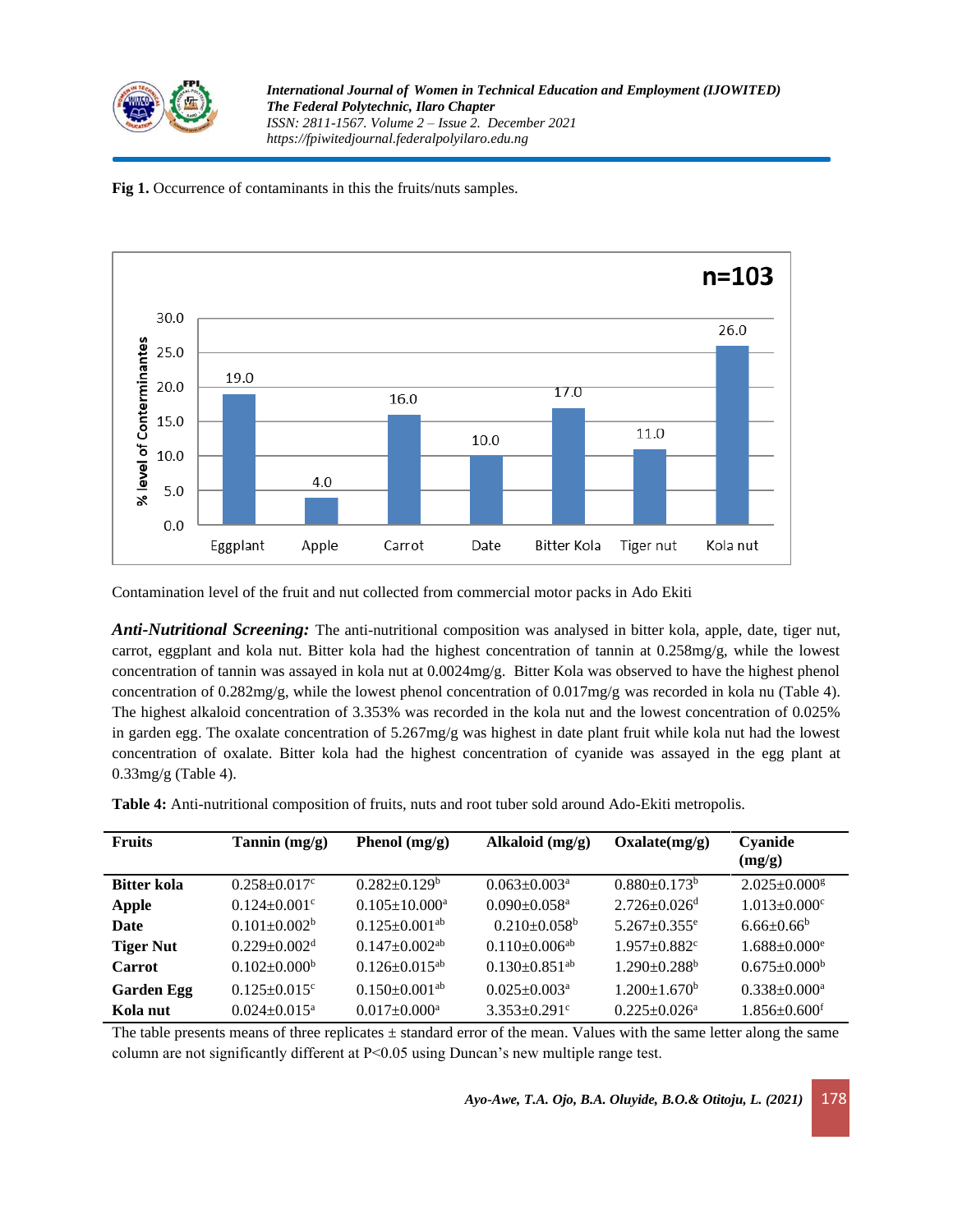

**Fig 1.** Occurrence of contaminants in this the fruits/nuts samples.



Contamination level of the fruit and nut collected from commercial motor packs in Ado Ekiti

*Anti-Nutritional Screening:* The anti-nutritional composition was analysed in bitter kola, apple, date, tiger nut, carrot, eggplant and kola nut. Bitter kola had the highest concentration of tannin at  $0.258mg/g$ , while the lowest concentration of tannin was assayed in kola nut at 0.0024mg/g. Bitter Kola was observed to have the highest phenol concentration of 0.282mg/g, while the lowest phenol concentration of 0.017mg/g was recorded in kola nu (Table 4). The highest alkaloid concentration of 3.353% was recorded in the kola nut and the lowest concentration of 0.025% in garden egg. The oxalate concentration of 5.267mg/g was highest in date plant fruit while kola nut had the lowest concentration of oxalate. Bitter kola had the highest concentration of cyanide was assayed in the egg plant at  $0.33$ mg/g (Table 4).

**Table 4:** Anti-nutritional composition of fruits, nuts and root tuber sold around Ado-Ekiti metropolis.

| <b>Fruits</b>      | Tannin $(mg/g)$                | Phenol $(mg/g)$                 | Alkaloid (mg/g)                 | Oxalate(mg/g)                  | Cyanide<br>(mg/g)              |
|--------------------|--------------------------------|---------------------------------|---------------------------------|--------------------------------|--------------------------------|
| <b>Bitter kola</b> | $0.258 \pm 0.017$ °            | $0.282 \pm 0.129$ <sup>b</sup>  | $0.063 \pm 0.003$ <sup>a</sup>  | $0.880\pm0.173^b$              | $2.025 \pm 0.000$ <sup>g</sup> |
| <b>Apple</b>       | $0.124 \pm 0.001$ <sup>c</sup> | $0.105 \pm 10.000^{\rm a}$      | $0.090 \pm 0.058$ <sup>a</sup>  | $2.726 \pm 0.026$ <sup>d</sup> | $1.013 \pm 0.000$ <sup>c</sup> |
| Date               | $0.101 \pm 0.002^b$            | $0.125 \pm 0.001$ <sup>ab</sup> | $0.210 \pm 0.058$ <sup>b</sup>  | $5.267 + 0.355$ <sup>e</sup>   | $6.66 \pm 0.66^b$              |
| <b>Tiger Nut</b>   | $0.229 \pm 0.002$ <sup>d</sup> | $0.147 \pm 0.002$ <sup>ab</sup> | $0.110 \pm 0.006$ <sup>ab</sup> | $1.957 \pm 0.882$ <sup>c</sup> | $1.688 \pm 0.000$ <sup>e</sup> |
| <b>Carrot</b>      | $0.102 \pm 0.000^b$            | $0.126 \pm 0.015^{ab}$          | $0.130 + 0.851$ <sup>ab</sup>   | $1.290 \pm 0.288$ <sup>b</sup> | $0.675 \pm 0.000^{\circ}$      |
| <b>Garden Egg</b>  | $0.125 + 0.015$ <sup>c</sup>   | $0.150 \pm 0.001$ <sup>ab</sup> | $0.025 \pm 0.003$ <sup>a</sup>  | $1.200 \pm 1.670^b$            | $0.338 \pm 0.000^a$            |
| Kola nut           | $0.024 \pm 0.015^{\text{a}}$   | $0.017 \pm 0.000$ <sup>a</sup>  | $3.353 \pm 0.291$ <sup>c</sup>  | $0.225 \pm 0.026^a$            | $1.856 \pm 0.600$ <sup>f</sup> |

The table presents means of three replicates  $\pm$  standard error of the mean. Values with the same letter along the same column are not significantly different at P<0.05 using Duncan's new multiple range test.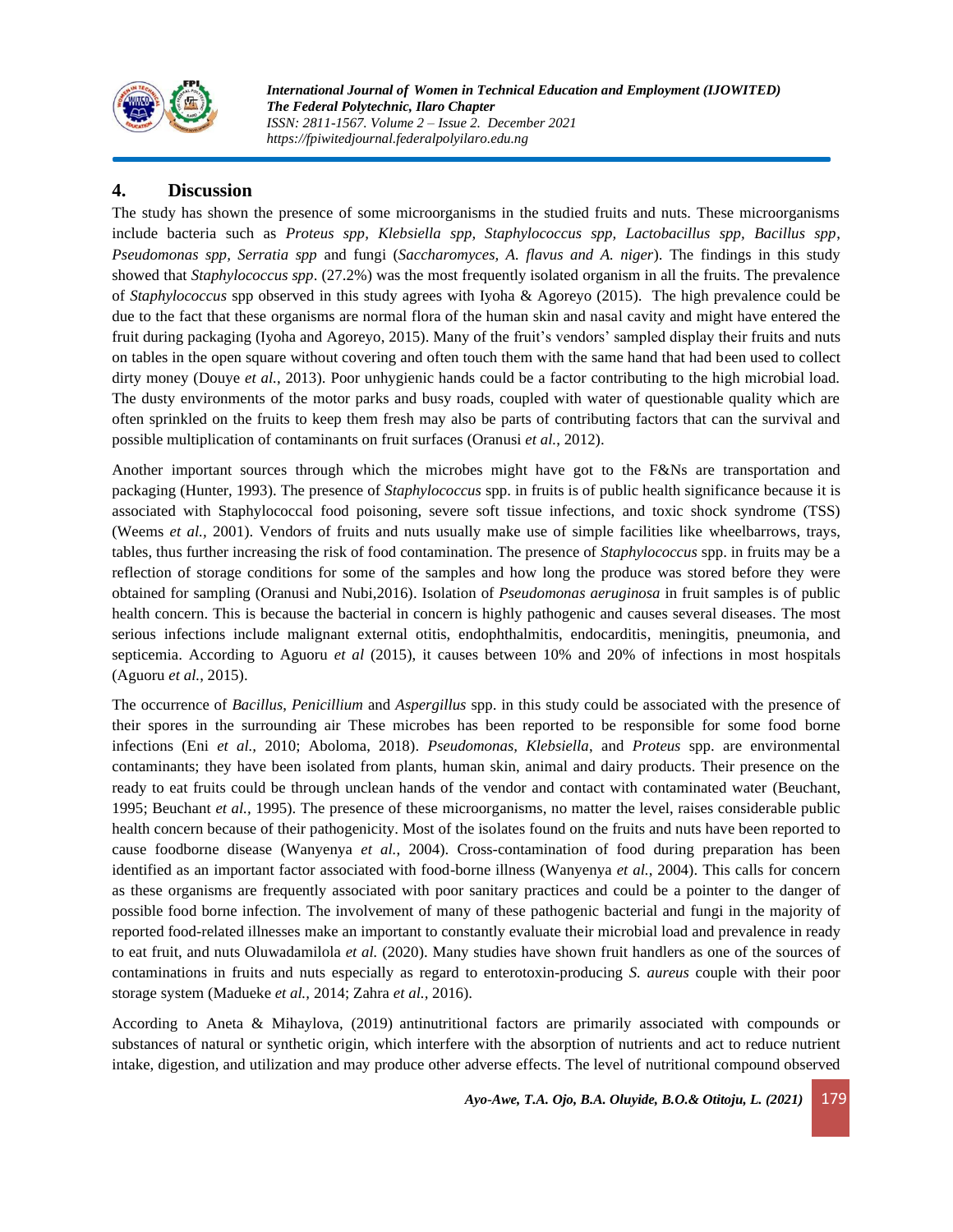

*International Journal of Women in Technical Education and Employment (IJOWITED) The Federal Polytechnic, Ilaro Chapter ISSN: 2811-1567. Volume 2 – Issue 2. December 2021 https://fpiwitedjournal.federalpolyilaro.edu.ng*

# **4. Discussion**

The study has shown the presence of some microorganisms in the studied fruits and nuts. These microorganisms include bacteria such as *Proteus spp, Klebsiella spp, Staphylococcus spp, Lactobacillus spp, Bacillus spp*, *Pseudomonas spp, Serratia spp* and fungi (*Saccharomyces, A. flavus and A. niger*). The findings in this study showed that *Staphylococcus spp*. (27.2%) was the most frequently isolated organism in all the fruits. The prevalence of *Staphylococcus* spp observed in this study agrees with Iyoha & Agoreyo (2015). The high prevalence could be due to the fact that these organisms are normal flora of the human skin and nasal cavity and might have entered the fruit during packaging (Iyoha and Agoreyo, 2015). Many of the fruit's vendors' sampled display their fruits and nuts on tables in the open square without covering and often touch them with the same hand that had been used to collect dirty money (Douye *et al.*, 2013). Poor unhygienic hands could be a factor contributing to the high microbial load. The dusty environments of the motor parks and busy roads, coupled with water of questionable quality which are often sprinkled on the fruits to keep them fresh may also be parts of contributing factors that can the survival and possible multiplication of contaminants on fruit surfaces (Oranusi *et al.*, 2012).

Another important sources through which the microbes might have got to the F&Ns are transportation and packaging (Hunter, 1993). The presence of *Staphylococcus* spp. in fruits is of public health significance because it is associated with Staphylococcal food poisoning, severe soft tissue infections, and toxic shock syndrome (TSS) (Weems *et al.*, 2001). Vendors of fruits and nuts usually make use of simple facilities like wheelbarrows, trays, tables, thus further increasing the risk of food contamination. The presence of *Staphylococcus* spp. in fruits may be a reflection of storage conditions for some of the samples and how long the produce was stored before they were obtained for sampling (Oranusi and Nubi,2016). Isolation of *Pseudomonas aeruginosa* in fruit samples is of public health concern. This is because the bacterial in concern is highly pathogenic and causes several diseases. The most serious infections include malignant external otitis, endophthalmitis, endocarditis, meningitis, pneumonia, and septicemia. According to Aguoru *et al* (2015), it causes between 10% and 20% of infections in most hospitals (Aguoru *et al.*, 2015).

The occurrence of *Bacillus*, *Penicillium* and *Aspergillus* spp. in this study could be associated with the presence of their spores in the surrounding air These microbes has been reported to be responsible for some food borne infections (Eni *et al.,* 2010; Aboloma, 2018). *Pseudomonas, Klebsiella*, and *Proteus* spp. are environmental contaminants; they have been isolated from plants, human skin, animal and dairy products. Their presence on the ready to eat fruits could be through unclean hands of the vendor and contact with contaminated water (Beuchant, 1995; Beuchant *et al.,* 1995). The presence of these microorganisms, no matter the level, raises considerable public health concern because of their pathogenicity. Most of the isolates found on the fruits and nuts have been reported to cause foodborne disease (Wanyenya *et al.*, 2004). Cross-contamination of food during preparation has been identified as an important factor associated with food-borne illness (Wanyenya *et al.*, 2004). This calls for concern as these organisms are frequently associated with poor sanitary practices and could be a pointer to the danger of possible food borne infection. The involvement of many of these pathogenic bacterial and fungi in the majority of reported food-related illnesses make an important to constantly evaluate their microbial load and prevalence in ready to eat fruit, and nuts Oluwadamilola *et al.* (2020). Many studies have shown fruit handlers as one of the sources of contaminations in fruits and nuts especially as regard to enterotoxin-producing *S. aureus* couple with their poor storage system (Madueke *et al.,* 2014; Zahra *et al.,* 2016).

According to Aneta & Mihaylova, (2019) antinutritional factors are primarily associated with compounds or substances of natural or synthetic origin, which interfere with the absorption of nutrients and act to reduce nutrient intake, digestion, and utilization and may produce other adverse effects. The level of nutritional compound observed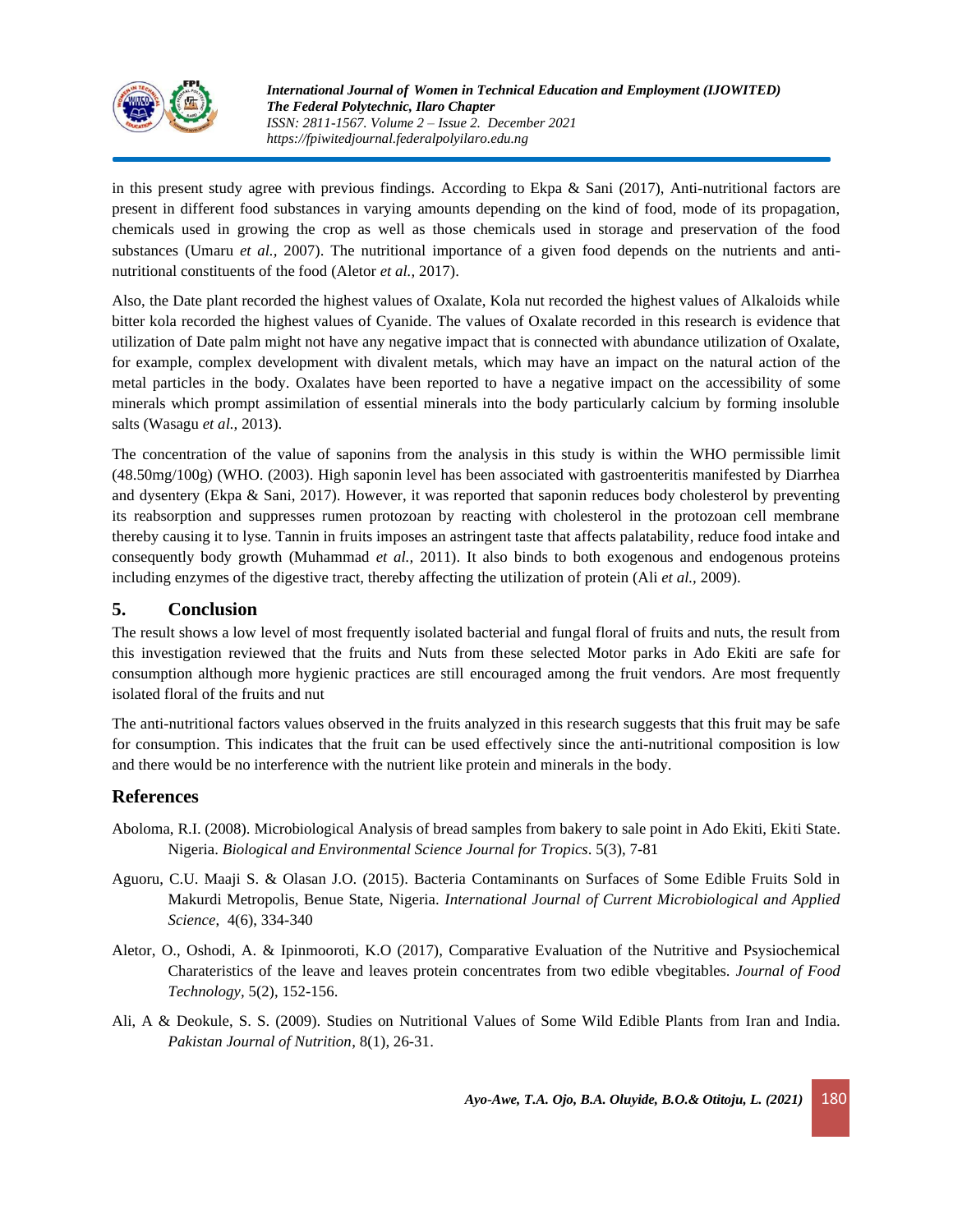

in this present study agree with previous findings. According to Ekpa & Sani (2017), Anti-nutritional factors are present in different food substances in varying amounts depending on the kind of food, mode of its propagation, chemicals used in growing the crop as well as those chemicals used in storage and preservation of the food substances (Umaru *et al.*, 2007). The nutritional importance of a given food depends on the nutrients and antinutritional constituents of the food (Aletor *et al.,* 2017).

Also, the Date plant recorded the highest values of Oxalate, Kola nut recorded the highest values of Alkaloids while bitter kola recorded the highest values of Cyanide. The values of Oxalate recorded in this research is evidence that utilization of Date palm might not have any negative impact that is connected with abundance utilization of Oxalate, for example, complex development with divalent metals, which may have an impact on the natural action of the metal particles in the body. Oxalates have been reported to have a negative impact on the accessibility of some minerals which prompt assimilation of essential minerals into the body particularly calcium by forming insoluble salts (Wasagu *et al.,* 2013).

The concentration of the value of saponins from the analysis in this study is within the WHO permissible limit (48.50mg/100g) (WHO. (2003). High saponin level has been associated with gastroenteritis manifested by Diarrhea and dysentery (Ekpa & Sani, 2017). However, it was reported that saponin reduces body cholesterol by preventing its reabsorption and suppresses rumen protozoan by reacting with cholesterol in the protozoan cell membrane thereby causing it to lyse. Tannin in fruits imposes an astringent taste that affects palatability, reduce food intake and consequently body growth (Muhammad *et al.,* 2011). It also binds to both exogenous and endogenous proteins including enzymes of the digestive tract, thereby affecting the utilization of protein (Ali *et al.,* 2009).

# **5. Conclusion**

The result shows a low level of most frequently isolated bacterial and fungal floral of fruits and nuts, the result from this investigation reviewed that the fruits and Nuts from these selected Motor parks in Ado Ekiti are safe for consumption although more hygienic practices are still encouraged among the fruit vendors. Are most frequently isolated floral of the fruits and nut

The anti-nutritional factors values observed in the fruits analyzed in this research suggests that this fruit may be safe for consumption. This indicates that the fruit can be used effectively since the anti-nutritional composition is low and there would be no interference with the nutrient like protein and minerals in the body.

# **References**

- Aboloma, R.I. (2008). Microbiological Analysis of bread samples from bakery to sale point in Ado Ekiti, Ekiti State. Nigeria. *Biological and Environmental Science Journal for Tropics*. 5(3), 7-81
- Aguoru, C.U. Maaji S. & Olasan J.O. (2015). Bacteria Contaminants on Surfaces of Some Edible Fruits Sold in Makurdi Metropolis, Benue State, Nigeria. *International Journal of Current Microbiological and Applied Science*, 4(6), 334-340
- Aletor, O., Oshodi, A. & Ipinmooroti, K.O (2017), Comparative Evaluation of the Nutritive and Psysiochemical Charateristics of the leave and leaves protein concentrates from two edible vbegitables. *Journal of Food Technology,* 5(2), 152-156.
- Ali, A & Deokule, S. S. (2009). Studies on Nutritional Values of Some Wild Edible Plants from Iran and India. *Pakistan Journal of Nutrition*, 8(1), 26-31.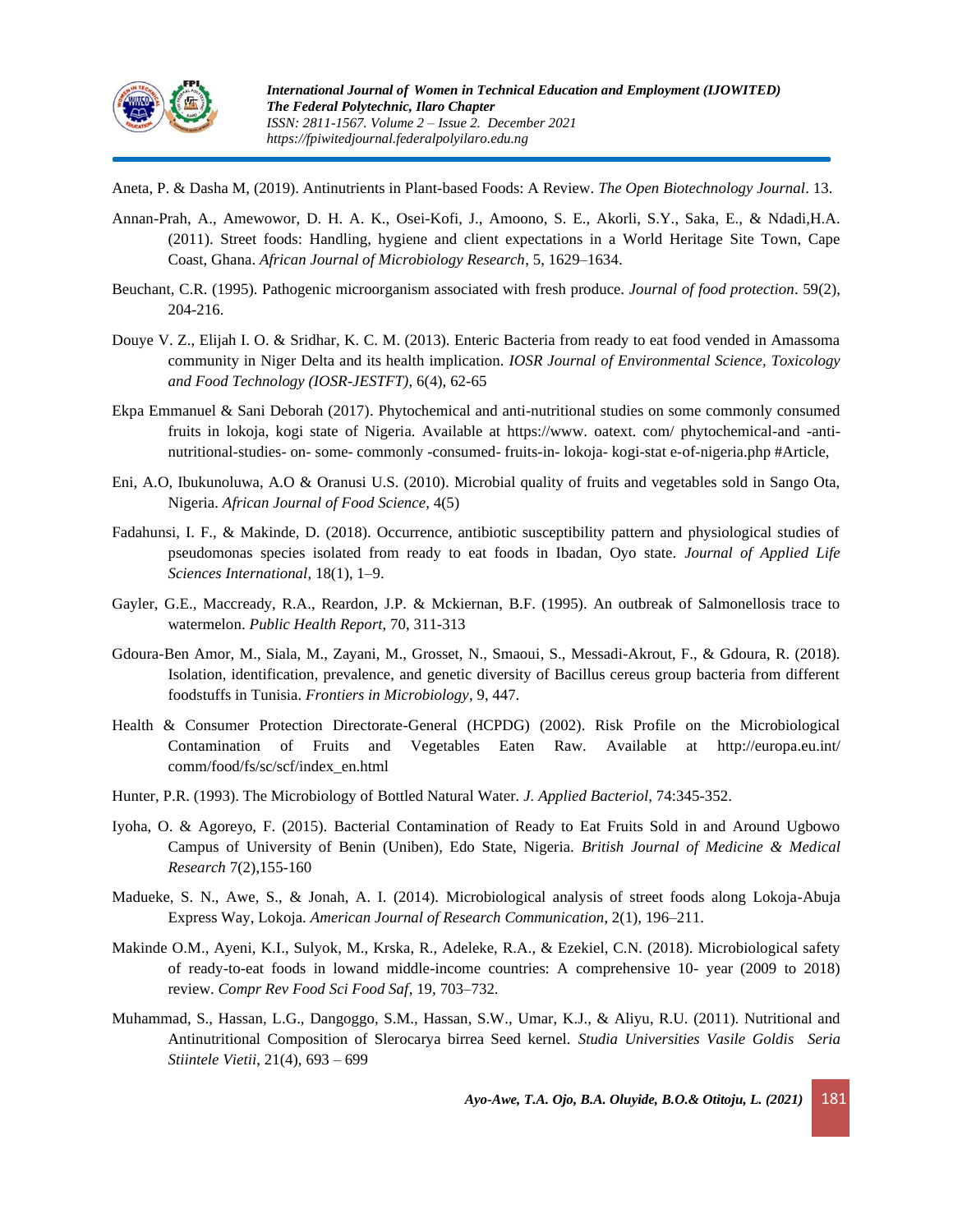

Aneta, P. & Dasha M, (2019). Antinutrients in Plant-based Foods: A Review. *The Open Biotechnology Journal*. 13.

- Annan-Prah, A., Amewowor, D. H. A. K., Osei-Kofi, J., Amoono, S. E., Akorli, S.Y., Saka, E., & Ndadi,H.A. (2011). Street foods: Handling, hygiene and client expectations in a World Heritage Site Town, Cape Coast, Ghana. *African Journal of Microbiology Research*, 5, 1629–1634.
- Beuchant, C.R. (1995). Pathogenic microorganism associated with fresh produce. *Journal of food protection*. 59(2), 204-216.
- Douye V. Z., Elijah I. O. & Sridhar, K. C. M. (2013). Enteric Bacteria from ready to eat food vended in Amassoma community in Niger Delta and its health implication. *IOSR Journal of Environmental Science, Toxicology and Food Technology (IOSR-JESTFT),* 6(4), 62-65
- Ekpa Emmanuel & Sani Deborah (2017). Phytochemical and anti-nutritional studies on some commonly consumed fruits in lokoja, kogi state of Nigeria. Available at https://www. oatext. com/ phytochemical-and -antinutritional-studies- on- some- commonly -consumed- fruits-in- lokoja- kogi-stat e-of-nigeria.php #Article,
- Eni, A.O, Ibukunoluwa, A.O & Oranusi U.S. (2010). Microbial quality of fruits and vegetables sold in Sango Ota, Nigeria. *African Journal of Food Science,* 4(5)
- Fadahunsi, I. F., & Makinde, D. (2018). Occurrence, antibiotic susceptibility pattern and physiological studies of pseudomonas species isolated from ready to eat foods in Ibadan, Oyo state. *Journal of Applied Life Sciences International*, 18(1), 1–9.
- Gayler, G.E., Maccready, R.A., Reardon, J.P. & Mckiernan, B.F. (1995). An outbreak of Salmonellosis trace to watermelon. *Public Health Report*, 70, 311-313
- Gdoura-Ben Amor, M., Siala, M., Zayani, M., Grosset, N., Smaoui, S., Messadi-Akrout, F., & Gdoura, R. (2018). Isolation, identification, prevalence, and genetic diversity of Bacillus cereus group bacteria from different foodstuffs in Tunisia. *Frontiers in Microbiology*, 9, 447.
- Health & Consumer Protection Directorate-General (HCPDG) (2002). Risk Profile on the Microbiological Contamination of Fruits and Vegetables Eaten Raw. Available at <http://europa.eu.int/> comm/food/fs/sc/scf/index\_en.html
- Hunter, P.R. (1993). The Microbiology of Bottled Natural Water. *J. Applied Bacteriol*, 74:345-352.
- Iyoha, O. & Agoreyo, F. (2015). Bacterial Contamination of Ready to Eat Fruits Sold in and Around Ugbowo Campus of University of Benin (Uniben), Edo State, Nigeria. *British Journal of Medicine & Medical Research* 7(2),155-160
- Madueke, S. N., Awe, S., & Jonah, A. I. (2014). Microbiological analysis of street foods along Lokoja-Abuja Express Way, Lokoja. *American Journal of Research Communication*, 2(1), 196–211.
- Makinde O.M., Ayeni, K.I., Sulyok, M., Krska, R., Adeleke, R.A., & Ezekiel, C.N. (2018). Microbiological safety of ready-to-eat foods in lowand middle-income countries: A comprehensive 10- year (2009 to 2018) review. *Compr Rev Food Sci Food Saf*, 19, 703–732.
- Muhammad, S., Hassan, L.G., Dangoggo, S.M., Hassan, S.W., Umar, K.J., & Aliyu, R.U. (2011). Nutritional and Antinutritional Composition of Slerocarya birrea Seed kernel. *Studia Universities Vasile Goldis Seria Stiintele Vietii*, 21(4), 693 – 699